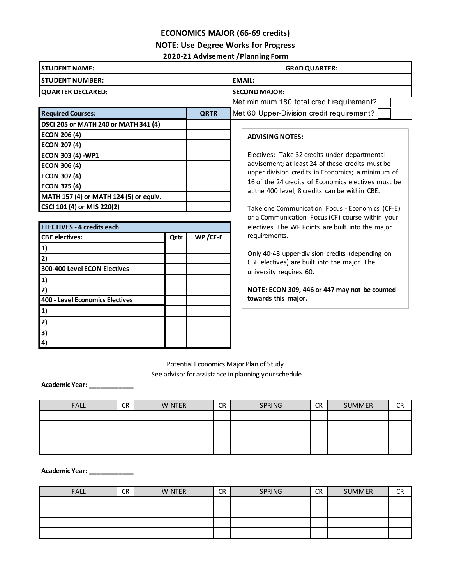## **ECONOMICS MAJOR (66-69 credits)**

### **NOTE: Use Degree Works for Progress**

#### **2020-21 Advisement /Planning Form**

| <b>ISTUDENT NAME:</b>                       |                      | <b>GRAD QUARTER:</b>                      |  |  |
|---------------------------------------------|----------------------|-------------------------------------------|--|--|
| <b>ISTUDENT NUMBER:</b>                     |                      | <b>EMAIL:</b>                             |  |  |
| <b>QUARTER DECLARED:</b>                    | <b>SECOND MAJOR:</b> |                                           |  |  |
|                                             |                      | Met minimum 180 total credit requirement? |  |  |
| <b>Required Courses:</b>                    | <b>QRTR</b>          | Met 60 Upper-Division credit requirement? |  |  |
| <b>DSCI 205 or MATH 240 or MATH 341 (4)</b> |                      |                                           |  |  |

**WP /CF-E**

| <b>ADVISING NOTES:</b> |  |
|------------------------|--|
|------------------------|--|

Electives: Take 32 credits under departmental advisement; at least 24 of these credits must be upper division credits in Economics; a minimum of 16 of the 24 credits of Economics electives must be at the 400 level; 8 credits can be within CBE.

Take one Communication Focus - Economics (CF-E) or a Communication Focus (CF) course within your electives. The WP Points are built into the major requirements.

Only 40-48 upper-division credits (depending on CBE electives) are built into the major. The university requires 60.

**NOTE: ECON 309, 446 or 447 may not be counted towards this major.**

Potential Economics Major Plan of Study See advisor for assistance in planning your schedule

**Academic Year: \_\_\_\_\_\_\_\_\_\_\_\_**

**ECON 206 (4) ECON 207 (4) ECON 303 (4) -WP1 ECON 306 (4) ECON 307 (4) ECON 375 (4)**

**MATH 157 (4) or MATH 124 (5) or equiv.**

**CBE electives: Qrtr**

**CSCI 101 (4) or MIS 220(2)**

**ELECTIVES - 4 credits each**

**300-400 Level ECON Electives**

**400 - Level Economics Electives**

**1) 2)**

**1) 2)**

**1) 2) 3) 4)**

| <b>FALL</b> | <b>CR</b> | <b>WINTER</b> | <b>CR</b> | SPRING | <b>CR</b> | <b>SUMMER</b> | <b>CR</b> |
|-------------|-----------|---------------|-----------|--------|-----------|---------------|-----------|
|             |           |               |           |        |           |               |           |
|             |           |               |           |        |           |               |           |
|             |           |               |           |        |           |               |           |
|             |           |               |           |        |           |               |           |

**Academic Year: \_\_\_\_\_\_\_\_\_\_\_\_**

| <b>FALL</b> | <b>CR</b> | <b>WINTER</b> | <b>CR</b> | SPRING | <b>CR</b> | SUMMER | <b>CR</b> |
|-------------|-----------|---------------|-----------|--------|-----------|--------|-----------|
|             |           |               |           |        |           |        |           |
|             |           |               |           |        |           |        |           |
|             |           |               |           |        |           |        |           |
|             |           |               |           |        |           |        |           |